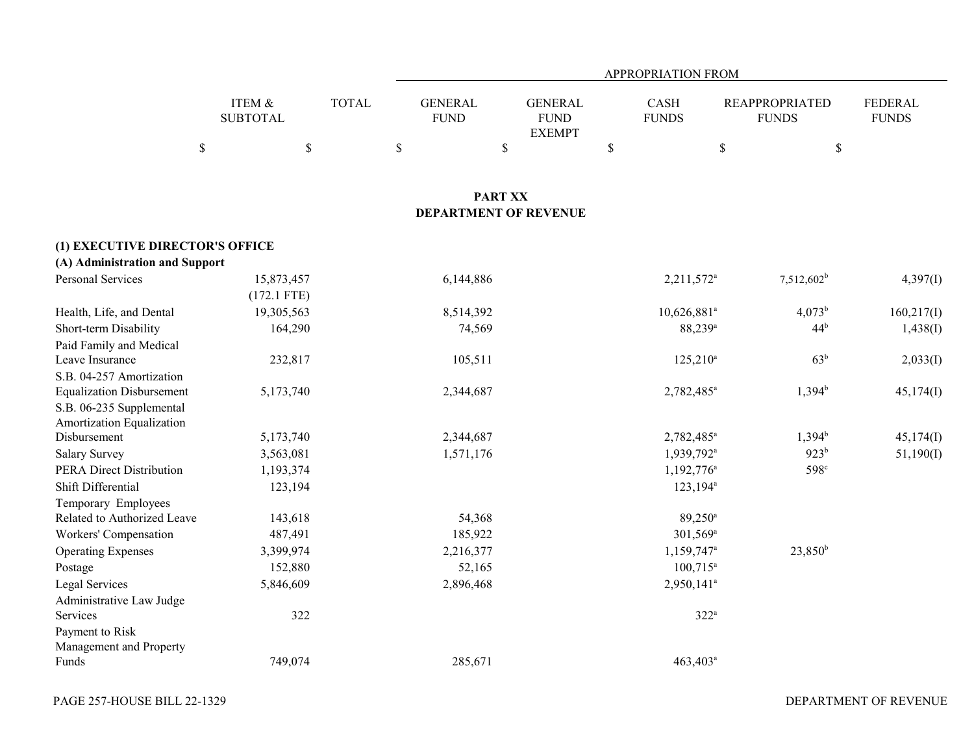|                                  |                              |              |                               |                                                | APPROPRIATION FROM          |                                       |                                |
|----------------------------------|------------------------------|--------------|-------------------------------|------------------------------------------------|-----------------------------|---------------------------------------|--------------------------------|
|                                  | ITEM $\&$<br><b>SUBTOTAL</b> | <b>TOTAL</b> | <b>GENERAL</b><br><b>FUND</b> | <b>GENERAL</b><br><b>FUND</b><br><b>EXEMPT</b> | <b>CASH</b><br><b>FUNDS</b> | <b>REAPPROPRIATED</b><br><b>FUNDS</b> | <b>FEDERAL</b><br><b>FUNDS</b> |
|                                  | $\$$<br>$\$$                 |              | \$                            | $\mathbb{S}$                                   | \$                          | \$<br>\$                              |                                |
|                                  |                              |              |                               |                                                |                             |                                       |                                |
|                                  |                              |              |                               | <b>PART XX</b><br><b>DEPARTMENT OF REVENUE</b> |                             |                                       |                                |
| (1) EXECUTIVE DIRECTOR'S OFFICE  |                              |              |                               |                                                |                             |                                       |                                |
| (A) Administration and Support   |                              |              |                               |                                                |                             |                                       |                                |
| <b>Personal Services</b>         | 15,873,457<br>$(172.1$ FTE)  |              | 6,144,886                     |                                                | 2,211,572 <sup>a</sup>      | $7,512,602^b$                         | 4,397(I)                       |
| Health, Life, and Dental         | 19,305,563                   |              | 8,514,392                     |                                                | 10,626,881 <sup>a</sup>     | $4,073^b$                             | 160,217(I)                     |
| Short-term Disability            | 164,290                      |              | 74,569                        |                                                | 88,239 <sup>a</sup>         | 44 <sup>b</sup>                       | 1,438(I)                       |
| Paid Family and Medical          |                              |              |                               |                                                |                             |                                       |                                |
| Leave Insurance                  | 232,817                      |              | 105,511                       |                                                | $125,210^a$                 | 63 <sup>b</sup>                       | 2,033(I)                       |
| S.B. 04-257 Amortization         |                              |              |                               |                                                |                             |                                       |                                |
| <b>Equalization Disbursement</b> | 5,173,740                    |              | 2,344,687                     |                                                | 2,782,485 <sup>a</sup>      | $1,394^b$                             | 45,174(I)                      |
| S.B. 06-235 Supplemental         |                              |              |                               |                                                |                             |                                       |                                |
| Amortization Equalization        |                              |              |                               |                                                |                             |                                       |                                |
| Disbursement                     | 5,173,740                    |              | 2,344,687                     |                                                | 2,782,485 <sup>a</sup>      | $1,394^b$                             | 45,174(I)                      |
| <b>Salary Survey</b>             | 3,563,081                    |              | 1,571,176                     |                                                | 1,939,792 <sup>a</sup>      | 923 <sup>b</sup>                      | 51,190(I)                      |
| <b>PERA Direct Distribution</b>  | 1,193,374                    |              |                               |                                                | $1,192,776$ <sup>a</sup>    | 598 <sup>c</sup>                      |                                |
| Shift Differential               | 123,194                      |              |                               |                                                | $123,194^a$                 |                                       |                                |
| Temporary Employees              |                              |              |                               |                                                |                             |                                       |                                |
| Related to Authorized Leave      | 143,618                      |              | 54,368                        |                                                | 89,250 <sup>a</sup>         |                                       |                                |
| Workers' Compensation            | 487,491                      |              | 185,922                       |                                                | 301,569 <sup>a</sup>        |                                       |                                |
| <b>Operating Expenses</b>        | 3,399,974                    |              | 2,216,377                     |                                                | 1,159,747 <sup>a</sup>      | $23,850^{\rm b}$                      |                                |
| Postage                          | 152,880                      |              | 52,165                        |                                                | $100,715^a$                 |                                       |                                |
| <b>Legal Services</b>            | 5,846,609                    |              | 2,896,468                     |                                                | 2,950,141 <sup>a</sup>      |                                       |                                |
| Administrative Law Judge         |                              |              |                               |                                                |                             |                                       |                                |
| Services                         | 322                          |              |                               |                                                | $322^a$                     |                                       |                                |
| Payment to Risk                  |                              |              |                               |                                                |                             |                                       |                                |
| Management and Property          |                              |              |                               |                                                |                             |                                       |                                |
| Funds                            | 749,074                      |              | 285,671                       |                                                | 463,403 <sup>a</sup>        |                                       |                                |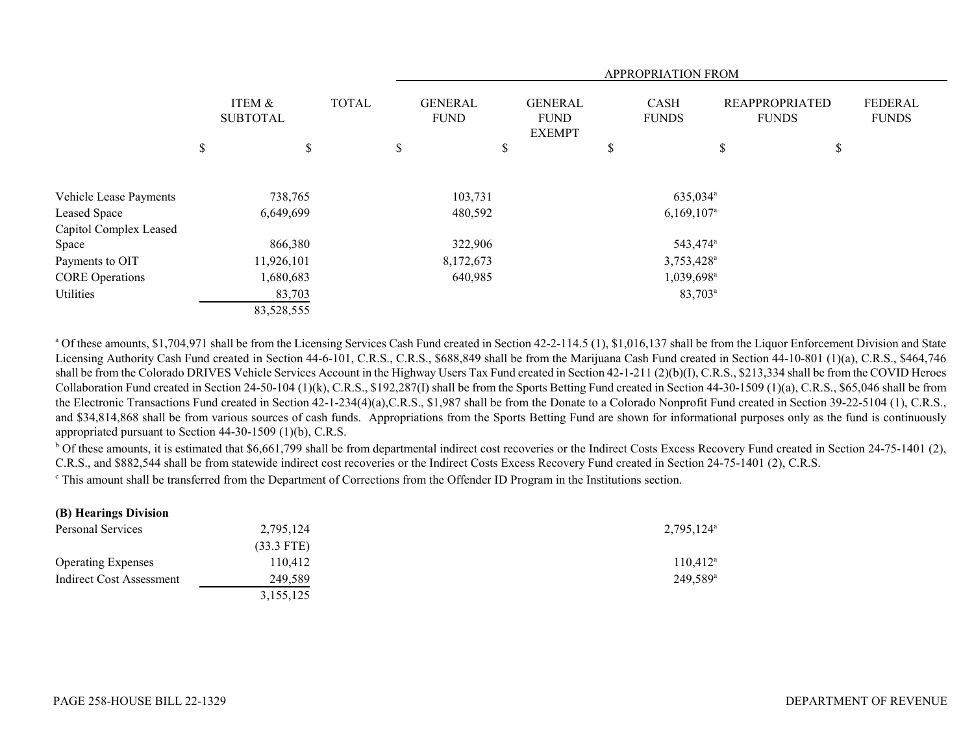|                        |                           | APPROPRIATION FROM |    |                               |    |                                                |    |                        |    |                                       |                                |
|------------------------|---------------------------|--------------------|----|-------------------------------|----|------------------------------------------------|----|------------------------|----|---------------------------------------|--------------------------------|
|                        | ITEM &<br><b>SUBTOTAL</b> | <b>TOTAL</b>       |    | <b>GENERAL</b><br><b>FUND</b> |    | <b>GENERAL</b><br><b>FUND</b><br><b>EXEMPT</b> |    | CASH<br><b>FUNDS</b>   |    | <b>REAPPROPRIATED</b><br><b>FUNDS</b> | <b>FEDERAL</b><br><b>FUNDS</b> |
|                        | \$<br>\$                  |                    | \$ |                               | \$ |                                                | \$ |                        | J. | \$                                    |                                |
| Vehicle Lease Payments | 738,765                   |                    |    | 103,731                       |    |                                                |    | 635,034 <sup>a</sup>   |    |                                       |                                |
| Leased Space           | 6,649,699                 |                    |    | 480,592                       |    |                                                |    | $6,169,107^{\circ}$    |    |                                       |                                |
| Capitol Complex Leased |                           |                    |    |                               |    |                                                |    |                        |    |                                       |                                |
| Space                  | 866,380                   |                    |    | 322,906                       |    |                                                |    | 543,474 <sup>a</sup>   |    |                                       |                                |
| Payments to OIT        | 11,926,101                |                    |    | 8,172,673                     |    |                                                |    | 3,753,428 <sup>a</sup> |    |                                       |                                |
| <b>CORE Operations</b> | 1,680,683                 |                    |    | 640,985                       |    |                                                |    | 1,039,698 <sup>a</sup> |    |                                       |                                |
| Utilities              | 83,703                    |                    |    |                               |    |                                                |    | 83,703 <sup>a</sup>    |    |                                       |                                |
|                        | 83,528,555                |                    |    |                               |    |                                                |    |                        |    |                                       |                                |

<sup>a</sup> Of these amounts, \$1,704,971 shall be from the Licensing Services Cash Fund created in Section 42-2-114.5 (1), \$1,016,137 shall be from the Liquor Enforcement Division and State Licensing Authority Cash Fund created in Section 44-6-101, C.R.S., C.R.S., \$688,849 shall be from the Marijuana Cash Fund created in Section 44-10-801 (1)(a), C.R.S., \$464,746 shall be from the Colorado DRIVES Vehicle Services Account in the Highway Users Tax Fund created in Section 42-1-211 (2)(b)(I), C.R.S., \$213,334 shall be from the COVID Heroes Collaboration Fund created in Section 24-50-104 (1)(k), C.R.S., \$192,287(I) shall be from the Sports Betting Fund created in Section 44-30-1509 (1)(a), C.R.S., \$65,046 shall be from the Electronic Transactions Fund created in Section 42-1-234(4)(a),C.R.S., \$1,987 shall be from the Donate to a Colorado Nonprofit Fund created in Section 39-22-5104 (1), C.R.S., and \$34,814,868 shall be from various sources of cash funds. Appropriations from the Sports Betting Fund are shown for informational purposes only as the fund is continuously appropriated pursuant to Section 44-30-1509 (1)(b), C.R.S.

 $b$  Of these amounts, it is estimated that \$6,661,799 shall be from departmental indirect cost recoveries or the Indirect Costs Excess Recovery Fund created in Section 24-75-1401 (2), C.R.S., and \$882,544 shall be from statewide indirect cost recoveries or the Indirect Costs Excess Recovery Fund created in Section 24-75-1401 (2), C.R.S.

c This amount shall be transferred from the Department of Corrections from the Offender ID Program in the Institutions section.

| (B) Hearings Division     |              |                          |
|---------------------------|--------------|--------------------------|
| Personal Services         | 2,795,124    | $2,795,124$ <sup>a</sup> |
|                           | $(33.3$ FTE) |                          |
| <b>Operating Expenses</b> | 110.412      | $110,412^{\circ}$        |
| Indirect Cost Assessment  | 249,589      | $249.589^{\circ}$        |
|                           | 3,155,125    |                          |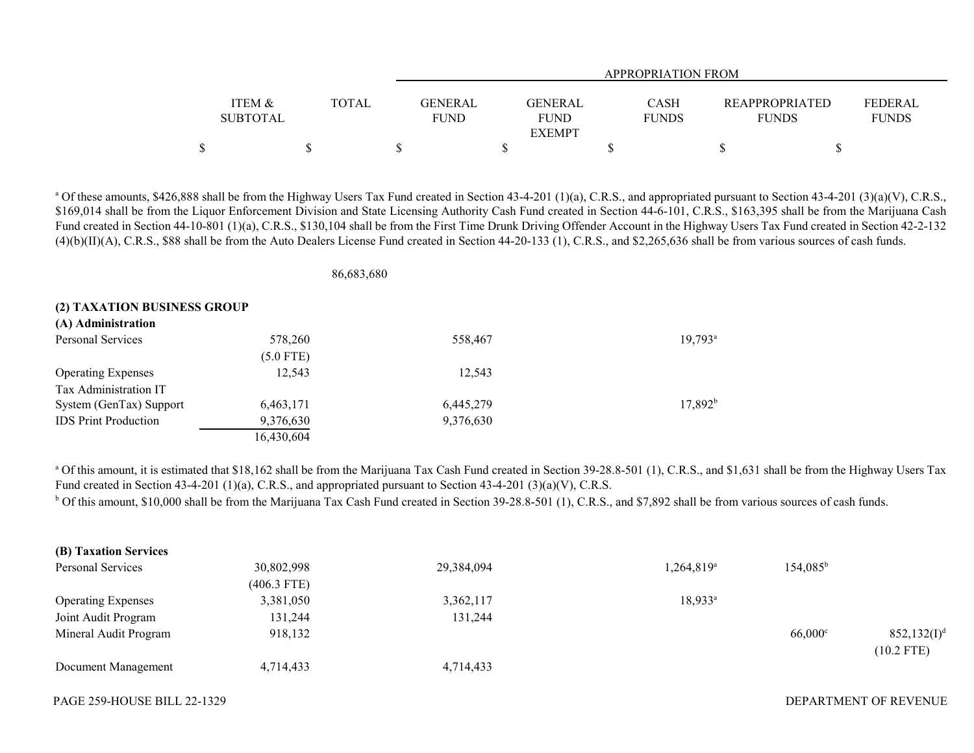|                                      |              | APPROPRIATION FROM     |                                         |                             |                                       |                                |  |  |  |  |  |
|--------------------------------------|--------------|------------------------|-----------------------------------------|-----------------------------|---------------------------------------|--------------------------------|--|--|--|--|--|
| <b>ITEM &amp;</b><br><b>SUBTOTAL</b> | <b>TOTAL</b> | GENERAL<br><b>FUND</b> | GENERAL<br><b>FUND</b><br><b>EXEMPT</b> | <b>CASH</b><br><b>FUNDS</b> | <b>REAPPROPRIATED</b><br><b>FUNDS</b> | <b>FEDERAL</b><br><b>FUNDS</b> |  |  |  |  |  |
|                                      |              |                        |                                         |                             |                                       |                                |  |  |  |  |  |

<sup>a</sup> Of these amounts, \$426,888 shall be from the Highway Users Tax Fund created in Section 43-4-201 (1)(a), C.R.S., and appropriated pursuant to Section 43-4-201 (3)(a)(V), C.R.S., \$169,014 shall be from the Liquor Enforcement Division and State Licensing Authority Cash Fund created in Section 44-6-101, C.R.S., \$163,395 shall be from the Marijuana Cash Fund created in Section 44-10-801 (1)(a), C.R.S., \$130,104 shall be from the First Time Drunk Driving Offender Account in the Highway Users Tax Fund created in Section 42-2-132 (4)(b)(II)(A), C.R.S., \$88 shall be from the Auto Dealers License Fund created in Section 44-20-133 (1), C.R.S., and \$2,265,636 shall be from various sources of cash funds.

86,683,680

#### **(2) TAXATION BUSINESS GROUP**

| (A) Administration          |             |           |                  |
|-----------------------------|-------------|-----------|------------------|
| Personal Services           | 578,260     | 558,467   | $19,793^{\rm a}$ |
|                             | $(5.0$ FTE) |           |                  |
| <b>Operating Expenses</b>   | 12,543      | 12.543    |                  |
| Tax Administration IT       |             |           |                  |
| System (GenTax) Support     | 6,463,171   | 6,445,279 | $17,892^b$       |
| <b>IDS</b> Print Production | 9,376,630   | 9,376,630 |                  |
|                             | 16,430,604  |           |                  |

<sup>a</sup> Of this amount, it is estimated that \$18,162 shall be from the Marijuana Tax Cash Fund created in Section 39-28.8-501 (1), C.R.S., and \$1,631 shall be from the Highway Users Tax Fund created in Section 43-4-201 (1)(a), C.R.S., and appropriated pursuant to Section 43-4-201 (3)(a)(V), C.R.S.  $b$  Of this amount, \$10,000 shall be from the Marijuana Tax Cash Fund created in Section 39-28.8-501 (1), C.R.S., and \$7,892 shall be from various sources of cash funds.

| (B) Taxation Services     |               |            |                          |                   |                |
|---------------------------|---------------|------------|--------------------------|-------------------|----------------|
| Personal Services         | 30,802,998    | 29,384,094 | $1,264,819$ <sup>a</sup> | $154,085^{\rm b}$ |                |
|                           | $(406.3$ FTE) |            |                          |                   |                |
| <b>Operating Expenses</b> | 3,381,050     | 3,362,117  | $18,933^a$               |                   |                |
| Joint Audit Program       | 131,244       | 131,244    |                          |                   |                |
| Mineral Audit Program     | 918,132       |            |                          | $66,000^{\circ}$  | $852,132(I)^d$ |
| Document Management       | 4,714,433     | 4,714,433  |                          |                   | $(10.2$ FTE)   |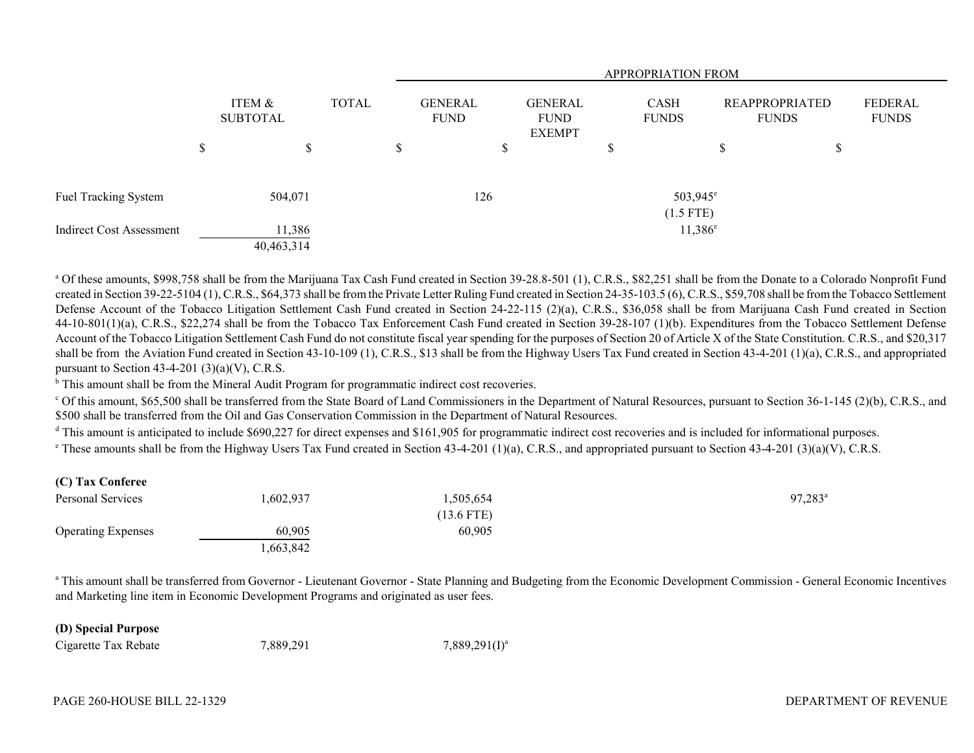|                                 |                      |       | APPROPRIATION FROM |                        |                                                |    |                                     |                                       |    |                                |
|---------------------------------|----------------------|-------|--------------------|------------------------|------------------------------------------------|----|-------------------------------------|---------------------------------------|----|--------------------------------|
|                                 | ITEM &<br>SUBTOTAL   | TOTAL |                    | GENERAL<br><b>FUND</b> | <b>GENERAL</b><br><b>FUND</b><br><b>EXEMPT</b> |    | CASH<br><b>FUNDS</b>                | <b>REAPPROPRIATED</b><br><b>FUNDS</b> |    | <b>FEDERAL</b><br><b>FUNDS</b> |
|                                 | \$<br>\$             |       | \$                 | \$                     |                                                | \$ |                                     | P                                     | \$ |                                |
| Fuel Tracking System            | 504,071              |       |                    | 126                    |                                                |    | 503,945 <sup>e</sup><br>$(1.5$ FTE) |                                       |    |                                |
| <b>Indirect Cost Assessment</b> | 11,386<br>40,463,314 |       |                    |                        |                                                |    | $11,386^e$                          |                                       |    |                                |

<sup>a</sup> Of these amounts, \$998,758 shall be from the Marijuana Tax Cash Fund created in Section 39-28.8-501 (1), C.R.S., \$82,251 shall be from the Donate to a Colorado Nonprofit Fund created in Section 39-22-5104 (1), C.R.S., \$64,373 shall be from the Private Letter Ruling Fund created in Section 24-35-103.5 (6), C.R.S., \$59,708 shall be from the Tobacco Settlement Defense Account of the Tobacco Litigation Settlement Cash Fund created in Section 24-22-115 (2)(a), C.R.S., \$36,058 shall be from Marijuana Cash Fund created in Section 44-10-801(1)(a), C.R.S., \$22,274 shall be from the Tobacco Tax Enforcement Cash Fund created in Section 39-28-107 (1)(b). Expenditures from the Tobacco Settlement Defense Account of the Tobacco Litigation Settlement Cash Fund do not constitute fiscal year spending for the purposes of Section 20 of Article X of the State Constitution. C.R.S., and \$20,317 shall be from the Aviation Fund created in Section 43-10-109 (1), C.R.S., \$13 shall be from the Highway Users Tax Fund created in Section 43-4-201 (1)(a), C.R.S., and appropriated pursuant to Section 43-4-201  $(3)(a)(V)$ , C.R.S.

 $\mu$ <sup>b</sup> This amount shall be from the Mineral Audit Program for programmatic indirect cost recoveries.

 $\degree$  Of this amount, \$65,500 shall be transferred from the State Board of Land Commissioners in the Department of Natural Resources, pursuant to Section 36-1-145 (2)(b), C.R.S., and \$500 shall be transferred from the Oil and Gas Conservation Commission in the Department of Natural Resources.

 $^{\text{d}}$  This amount is anticipated to include \$690,227 for direct expenses and \$161,905 for programmatic indirect cost recoveries and is included for informational purposes.

 $\epsilon$  These amounts shall be from the Highway Users Tax Fund created in Section 43-4-201 (1)(a), C.R.S., and appropriated pursuant to Section 43-4-201 (3)(a)(V), C.R.S.

# **(C) Tax Conferee**

| Personal Services         | 1,602,937 | 1,505,654    | 97,283 <sup>a</sup> |
|---------------------------|-----------|--------------|---------------------|
|                           |           | $(13.6$ FTE) |                     |
| <b>Operating Expenses</b> | 60,905    | 60,905       |                     |
|                           | ,663,842  |              |                     |

<sup>a</sup> This amount shall be transferred from Governor - Lieutenant Governor - State Planning and Budgeting from the Economic Development Commission - General Economic Incentives and Marketing line item in Economic Development Programs and originated as user fees.

#### **(D) Special Purpose**

Cigarette Tax Rebate  $7,889,291$   $7,889,291(1)^{a}$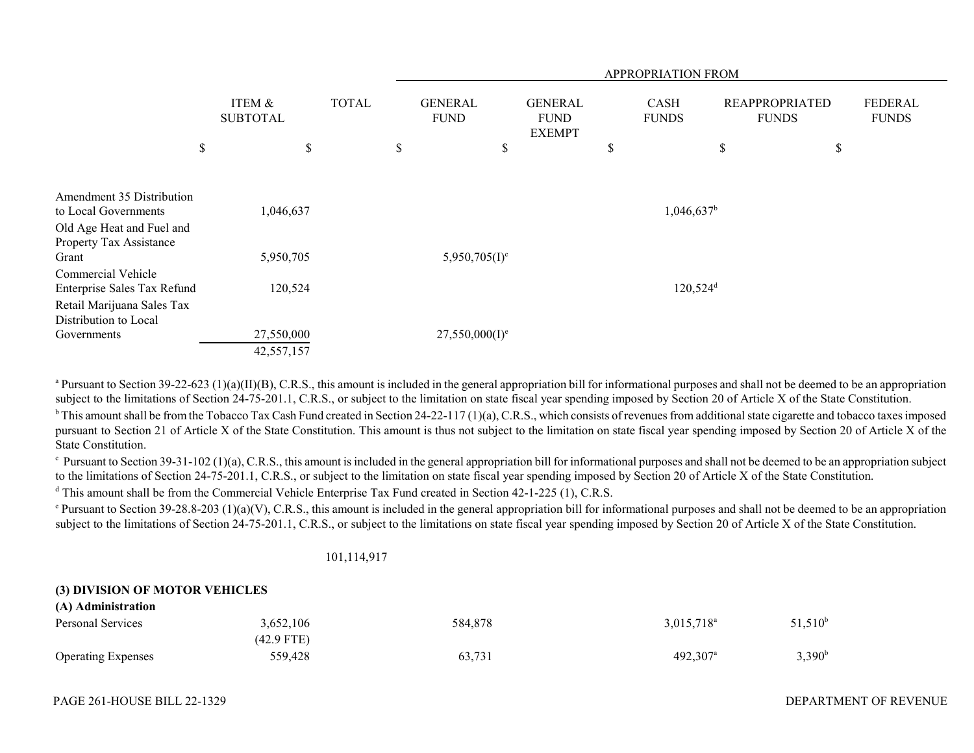|                                                               |                           |              | APPROPRIATION FROM |                               |                                                |    |                             |    |                                       |                         |
|---------------------------------------------------------------|---------------------------|--------------|--------------------|-------------------------------|------------------------------------------------|----|-----------------------------|----|---------------------------------------|-------------------------|
|                                                               | ITEM &<br><b>SUBTOTAL</b> | <b>TOTAL</b> |                    | <b>GENERAL</b><br><b>FUND</b> | <b>GENERAL</b><br><b>FUND</b><br><b>EXEMPT</b> |    | <b>CASH</b><br><b>FUNDS</b> |    | <b>REAPPROPRIATED</b><br><b>FUNDS</b> | FEDERAL<br><b>FUNDS</b> |
|                                                               | \$<br>\$                  |              | \$                 | \$                            |                                                | \$ |                             | \$ | $\$$                                  |                         |
| Amendment 35 Distribution<br>to Local Governments             | 1,046,637                 |              |                    |                               |                                                |    | $1,046,637$ <sup>b</sup>    |    |                                       |                         |
| Old Age Heat and Fuel and<br>Property Tax Assistance<br>Grant | 5,950,705                 |              |                    | $5,950,705(I)^c$              |                                                |    |                             |    |                                       |                         |
| Commercial Vehicle<br>Enterprise Sales Tax Refund             | 120,524                   |              |                    |                               |                                                |    | $120,524$ <sup>d</sup>      |    |                                       |                         |
| Retail Marijuana Sales Tax<br>Distribution to Local           |                           |              |                    |                               |                                                |    |                             |    |                                       |                         |
| Governments                                                   | 27,550,000<br>42,557,157  |              |                    | $27,550,000(I)^e$             |                                                |    |                             |    |                                       |                         |

<sup>a</sup> Pursuant to Section 39-22-623 (1)(a)(II)(B), C.R.S., this amount is included in the general appropriation bill for informational purposes and shall not be deemed to be an appropriation subject to the limitations of Section 24-75-201.1, C.R.S., or subject to the limitation on state fiscal year spending imposed by Section 20 of Article X of the State Constitution.

 $b$  This amount shall be from the Tobacco Tax Cash Fund created in Section 24-22-117 (1)(a), C.R.S., which consists of revenues from additional state cigarette and tobacco taxes imposed pursuant to Section 21 of Article X of the State Constitution. This amount is thus not subject to the limitation on state fiscal year spending imposed by Section 20 of Article X of the State Constitution.

 $\epsilon$  Pursuant to Section 39-31-102 (1)(a), C.R.S., this amount is included in the general appropriation bill for informational purposes and shall not be deemed to be an appropriation subject to the limitations of Section 24-75-201.1, C.R.S., or subject to the limitation on state fiscal year spending imposed by Section 20 of Article X of the State Constitution.

<sup>d</sup> This amount shall be from the Commercial Vehicle Enterprise Tax Fund created in Section 42-1-225 (1), C.R.S.

<sup>e</sup> Pursuant to Section 39-28.8-203 (1)(a)(V), C.R.S., this amount is included in the general appropriation bill for informational purposes and shall not be deemed to be an appropriation subject to the limitations of Section 24-75-201.1, C.R.S., or subject to the limitations on state fiscal year spending imposed by Section 20 of Article X of the State Constitution.

#### 101,114,917

### **(3) DIVISION OF MOTOR VEHICLES**

| (A) Administration        |            |         |                        |                    |
|---------------------------|------------|---------|------------------------|--------------------|
| Personal Services         | 3,652,106  | 584,878 | $3,015,718^{\circ}$    | $51,510^{\circ}$   |
|                           | (42.9 FTE) |         |                        |                    |
| <b>Operating Expenses</b> | 559,428    | 63,731  | $492,307$ <sup>a</sup> | 3,390 <sup>b</sup> |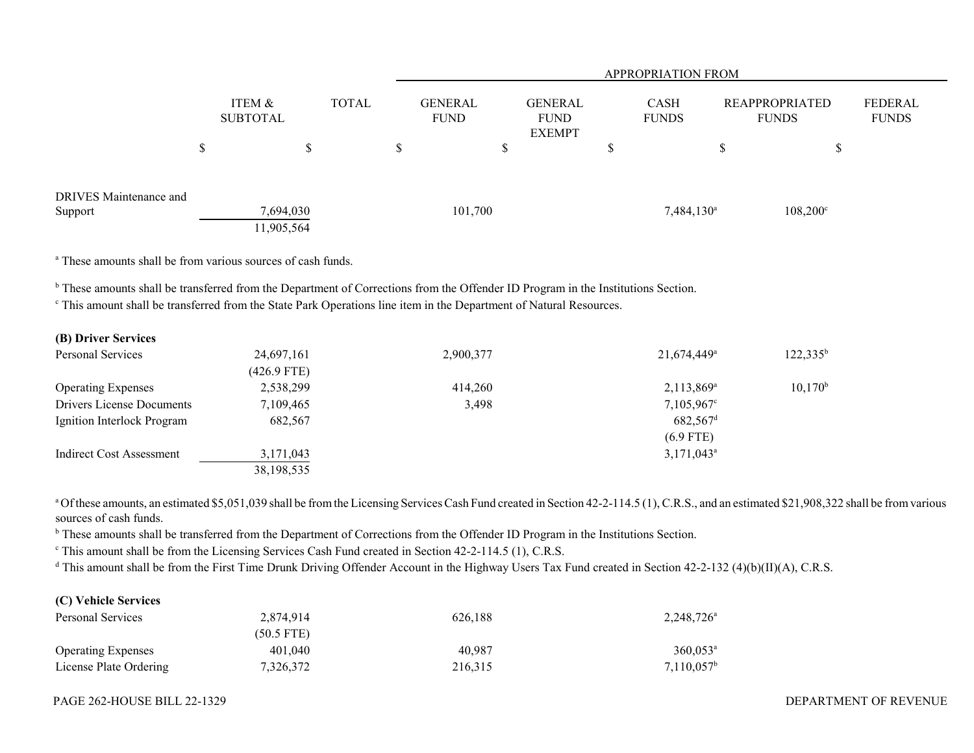|                                          |                         |              |                               |                                                | <b>APPROPRIATION FROM</b> |                             |              |                       |                         |
|------------------------------------------|-------------------------|--------------|-------------------------------|------------------------------------------------|---------------------------|-----------------------------|--------------|-----------------------|-------------------------|
|                                          | ITEM &<br>SUBTOTAL      | <b>TOTAL</b> | <b>GENERAL</b><br><b>FUND</b> | <b>GENERAL</b><br><b>FUND</b><br><b>EXEMPT</b> |                           | <b>CASH</b><br><b>FUNDS</b> | <b>FUNDS</b> | <b>REAPPROPRIATED</b> | FEDERAL<br><b>FUNDS</b> |
|                                          | \$<br>S                 |              | \$                            | ъ                                              | D                         |                             | D            | J                     |                         |
| <b>DRIVES</b> Maintenance and<br>Support | 7,694,030<br>11,905,564 |              | 101,700                       |                                                |                           | $7,484,130^a$               |              | $108,200^{\circ}$     |                         |

a These amounts shall be from various sources of cash funds.

<sup>b</sup> These amounts shall be transferred from the Department of Corrections from the Offender ID Program in the Institutions Section.

<sup>c</sup> This amount shall be transferred from the State Park Operations line item in the Department of Natural Resources.

# **(B) Driver Services**

| Personal Services          | 24,697,161    | 2,900,377 | 21,674,449 <sup>a</sup> | $122,335^b$ |
|----------------------------|---------------|-----------|-------------------------|-------------|
|                            | $(426.9$ FTE) |           |                         |             |
| <b>Operating Expenses</b>  | 2,538,299     | 414,260   | $2,113,869^{\circ}$     | $10,170^b$  |
| Drivers License Documents  | 7,109,465     | 3,498     | $7,105,967^{\circ}$     |             |
| Ignition Interlock Program | 682,567       |           | $682,567$ <sup>d</sup>  |             |
|                            |               |           | $(6.9$ FTE)             |             |
| Indirect Cost Assessment   | 3,171,043     |           | $3,171,043^{\circ}$     |             |
|                            | 38, 198, 535  |           |                         |             |

<sup>a</sup> Of these amounts, an estimated \$5,051,039 shall be from the Licensing Services Cash Fund created in Section 42-2-114.5 (1), C.R.S., and an estimated \$21,908,322 shall be from various sources of cash funds.

<sup>b</sup> These amounts shall be transferred from the Department of Corrections from the Offender ID Program in the Institutions Section.

<sup>c</sup> This amount shall be from the Licensing Services Cash Fund created in Section 42-2-114.5 (1), C.R.S.

<sup>d</sup> This amount shall be from the First Time Drunk Driving Offender Account in the Highway Users Tax Fund created in Section 42-2-132 (4)(b)(II)(A), C.R.S.

### **(C) Vehicle Services**

| Personal Services         | 2.874.914    | 626.188 | $2,248,726^{\circ}$  |
|---------------------------|--------------|---------|----------------------|
|                           | $(50.5$ FTE) |         |                      |
| <b>Operating Expenses</b> | 401,040      | 40.987  | $360.053^{\text{a}}$ |
| License Plate Ordering    | 7,326,372    | 216.315 | $7,110,057^{\rm b}$  |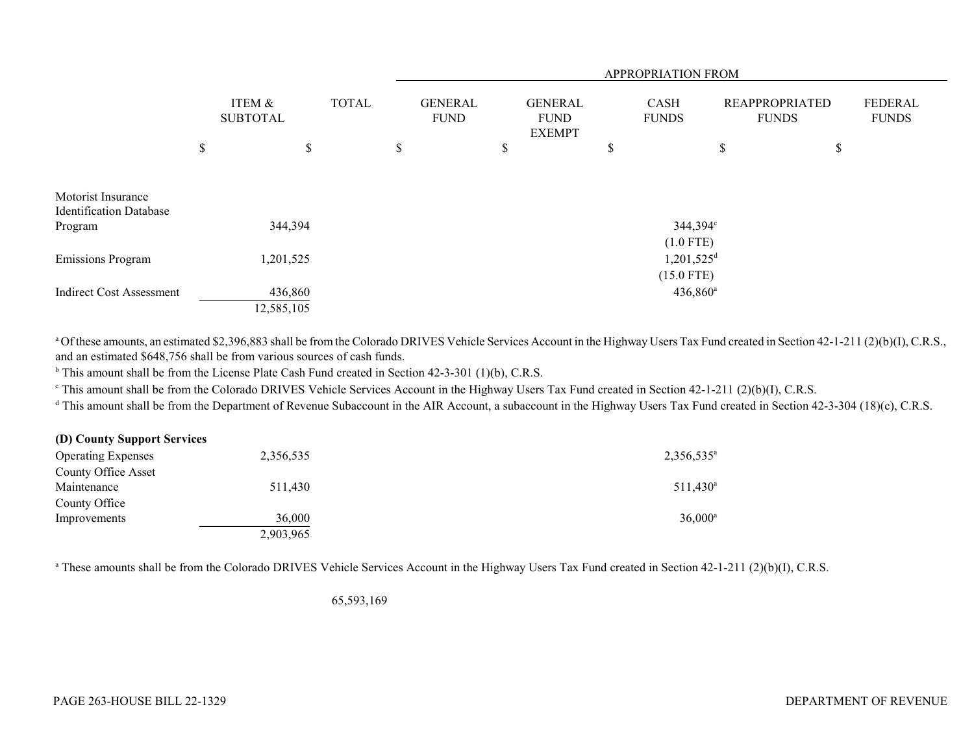|                                                      |                           |              | APPROPRIATION FROM |                               |    |                                                |    |                                          |                                       |    |                                |
|------------------------------------------------------|---------------------------|--------------|--------------------|-------------------------------|----|------------------------------------------------|----|------------------------------------------|---------------------------------------|----|--------------------------------|
|                                                      | ITEM &<br><b>SUBTOTAL</b> | <b>TOTAL</b> |                    | <b>GENERAL</b><br><b>FUND</b> |    | <b>GENERAL</b><br><b>FUND</b><br><b>EXEMPT</b> |    | CASH<br><b>FUNDS</b>                     | <b>REAPPROPRIATED</b><br><b>FUNDS</b> |    | <b>FEDERAL</b><br><b>FUNDS</b> |
|                                                      | \$<br>\$                  |              | \$                 |                               | \$ |                                                | \$ |                                          | \$                                    | \$ |                                |
| Motorist Insurance<br><b>Identification Database</b> |                           |              |                    |                               |    |                                                |    |                                          |                                       |    |                                |
| Program                                              | 344,394                   |              |                    |                               |    |                                                |    | 344,394°<br>$(1.0$ FTE)                  |                                       |    |                                |
| <b>Emissions Program</b>                             | 1,201,525                 |              |                    |                               |    |                                                |    | $1,201,525$ <sup>d</sup><br>$(15.0$ FTE) |                                       |    |                                |
| <b>Indirect Cost Assessment</b>                      | 436,860<br>12,585,105     |              |                    |                               |    |                                                |    | $436,860^{\circ}$                        |                                       |    |                                |

<sup>a</sup> Of these amounts, an estimated \$2,396,883 shall be from the Colorado DRIVES Vehicle Services Account in the Highway Users Tax Fund created in Section 42-1-211 (2)(b)(I), C.R.S., and an estimated \$648,756 shall be from various sources of cash funds.

 $<sup>b</sup>$  This amount shall be from the License Plate Cash Fund created in Section 42-3-301 (1)(b), C.R.S.</sup>

<sup>c</sup> This amount shall be from the Colorado DRIVES Vehicle Services Account in the Highway Users Tax Fund created in Section 42-1-211 (2)(b)(I), C.R.S.

<sup>d</sup> This amount shall be from the Department of Revenue Subaccount in the AIR Account, a subaccount in the Highway Users Tax Fund created in Section 42-3-304 (18)(c), C.R.S.

| (D) County Support Services |           |                     |
|-----------------------------|-----------|---------------------|
| <b>Operating Expenses</b>   | 2,356,535 | $2,356,535^{\circ}$ |
| <b>County Office Asset</b>  |           |                     |
| Maintenance                 | 511,430   | $511,430^a$         |
| County Office               |           |                     |
| Improvements                | 36,000    | $36,000^{\circ}$    |
|                             | 2,903,965 |                     |

<sup>a</sup> These amounts shall be from the Colorado DRIVES Vehicle Services Account in the Highway Users Tax Fund created in Section 42-1-211 (2)(b)(I), C.R.S.

65,593,169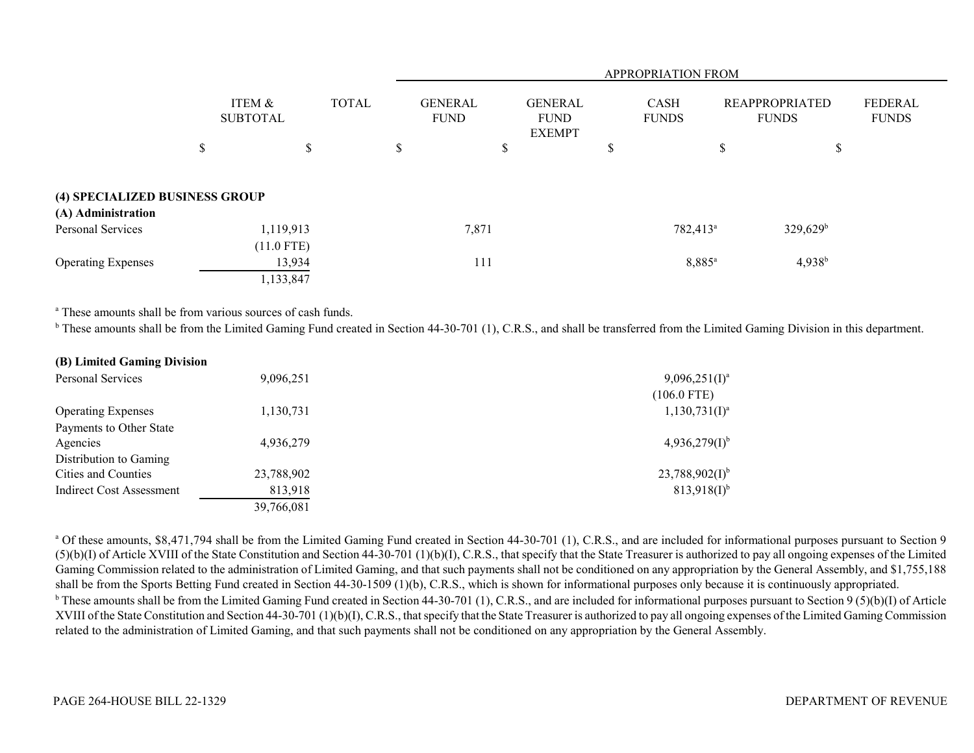|                                |                           | APPROPRIATION FROM |              |   |                               |    |                                                |     |                             |    |                                       |                         |
|--------------------------------|---------------------------|--------------------|--------------|---|-------------------------------|----|------------------------------------------------|-----|-----------------------------|----|---------------------------------------|-------------------------|
|                                | ITEM &<br><b>SUBTOTAL</b> |                    | <b>TOTAL</b> |   | <b>GENERAL</b><br><b>FUND</b> |    | <b>GENERAL</b><br><b>FUND</b><br><b>EXEMPT</b> |     | <b>CASH</b><br><b>FUNDS</b> |    | <b>REAPPROPRIATED</b><br><b>FUNDS</b> | FEDERAL<br><b>FUNDS</b> |
|                                | \$                        | \$                 |              | ъ |                               | \$ |                                                | ۰D. |                             | \$ | \$                                    |                         |
| (4) SPECIALIZED BUSINESS GROUP |                           |                    |              |   |                               |    |                                                |     |                             |    |                                       |                         |
| (A) Administration             |                           |                    |              |   |                               |    |                                                |     |                             |    |                                       |                         |
| Personal Services              |                           | 1,119,913          |              |   | 7,871                         |    |                                                |     | 782,413 <sup>a</sup>        |    | $329,629^b$                           |                         |
|                                |                           | $(11.0$ FTE)       |              |   |                               |    |                                                |     |                             |    |                                       |                         |
| <b>Operating Expenses</b>      |                           | 13,934             |              |   | 111                           |    |                                                |     | $8,885^{\circ}$             |    | $4,938^{b}$                           |                         |
|                                |                           | 1,133,847          |              |   |                               |    |                                                |     |                             |    |                                       |                         |

<sup>a</sup> These amounts shall be from various sources of cash funds.

<sup>b</sup> These amounts shall be from the Limited Gaming Fund created in Section 44-30-701 (1), C.R.S., and shall be transferred from the Limited Gaming Division in this department.

| (B) Limited Gaming Division     |            |                     |  |  |  |  |
|---------------------------------|------------|---------------------|--|--|--|--|
| Personal Services               | 9,096,251  | $9,096,251(I)^a$    |  |  |  |  |
|                                 |            | $(106.0$ FTE)       |  |  |  |  |
| <b>Operating Expenses</b>       | 1,130,731  | $1,130,731(I)^a$    |  |  |  |  |
| Payments to Other State         |            |                     |  |  |  |  |
| Agencies                        | 4,936,279  | $4,936,279(1)^{b}$  |  |  |  |  |
| Distribution to Gaming          |            |                     |  |  |  |  |
| Cities and Counties             | 23,788,902 | $23,788,902(1)^{b}$ |  |  |  |  |
| <b>Indirect Cost Assessment</b> | 813,918    | $813,918(I)^{b}$    |  |  |  |  |
|                                 | 39,766,081 |                     |  |  |  |  |

<sup>a</sup> Of these amounts, \$8,471,794 shall be from the Limited Gaming Fund created in Section 44-30-701 (1), C.R.S., and are included for informational purposes pursuant to Section 9  $(5)(b)(I)$  of Article XVIII of the State Constitution and Section 44-30-701 (1)(b)(I), C.R.S., that specify that the State Treasurer is authorized to pay all ongoing expenses of the Limited Gaming Commission related to the administration of Limited Gaming, and that such payments shall not be conditioned on any appropriation by the General Assembly, and \$1,755,188 shall be from the Sports Betting Fund created in Section 44-30-1509 (1)(b), C.R.S., which is shown for informational purposes only because it is continuously appropriated. <sup>b</sup> These amounts shall be from the Limited Gaming Fund created in Section 44-30-701 (1), C.R.S., and are included for informational purposes pursuant to Section 9 (5)(b)(I) of Article XVIII of the State Constitution and Section 44-30-701 (1)(b)(I), C.R.S., that specify that the State Treasurer is authorized to pay all ongoing expenses of the Limited Gaming Commission related to the administration of Limited Gaming, and that such payments shall not be conditioned on any appropriation by the General Assembly.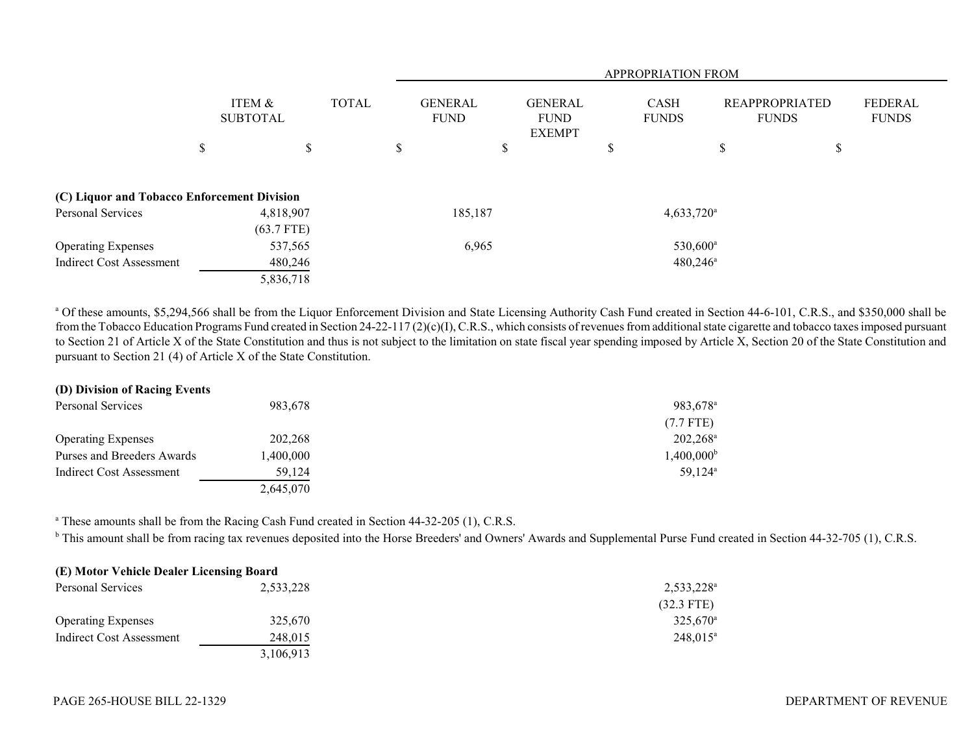|                                             |                           |              |              |                               |         | <b>APPROPRIATION FROM</b>                      |  |    |                             |                                       |    |                         |
|---------------------------------------------|---------------------------|--------------|--------------|-------------------------------|---------|------------------------------------------------|--|----|-----------------------------|---------------------------------------|----|-------------------------|
|                                             | ITEM &<br><b>SUBTOTAL</b> |              | <b>TOTAL</b> | <b>GENERAL</b><br><b>FUND</b> |         | <b>GENERAL</b><br><b>FUND</b><br><b>EXEMPT</b> |  |    | <b>CASH</b><br><b>FUNDS</b> | <b>REAPPROPRIATED</b><br><b>FUNDS</b> |    | FEDERAL<br><b>FUNDS</b> |
|                                             | \$                        |              | \$           | \$                            |         | \$                                             |  | D. |                             | \$                                    | \$ |                         |
| (C) Liquor and Tobacco Enforcement Division |                           |              |              |                               |         |                                                |  |    |                             |                                       |    |                         |
| Personal Services                           |                           | 4,818,907    |              |                               | 185,187 |                                                |  |    | $4,633,720^{\circ}$         |                                       |    |                         |
|                                             |                           | $(63.7$ FTE) |              |                               |         |                                                |  |    |                             |                                       |    |                         |
| <b>Operating Expenses</b>                   |                           | 537,565      |              |                               | 6,965   |                                                |  |    | 530,600 <sup>a</sup>        |                                       |    |                         |
| Indirect Cost Assessment                    |                           | 480,246      |              |                               |         |                                                |  |    | $480,246^{\circ}$           |                                       |    |                         |
|                                             |                           | 5,836,718    |              |                               |         |                                                |  |    |                             |                                       |    |                         |

<sup>a</sup> Of these amounts, \$5,294,566 shall be from the Liquor Enforcement Division and State Licensing Authority Cash Fund created in Section 44-6-101, C.R.S., and \$350,000 shall be from the Tobacco Education Programs Fund created in Section 24-22-117 (2)(c)(I), C.R.S., which consists of revenues from additional state cigarette and tobacco taxes imposed pursuant to Section 21 of Article X of the State Constitution and thus is not subject to the limitation on state fiscal year spending imposed by Article X, Section 20 of the State Constitution and pursuant to Section 21 (4) of Article X of the State Constitution.

| (D) Division of Racing Events |           |                       |
|-------------------------------|-----------|-----------------------|
| Personal Services             | 983,678   | 983,678 <sup>a</sup>  |
|                               |           | $(7.7$ FTE)           |
| <b>Operating Expenses</b>     | 202,268   | $202,268^{\rm a}$     |
| Purses and Breeders Awards    | 1,400,000 | $1,400,000^{\rm b}$   |
| Indirect Cost Assessment      | 59.124    | $59.124$ <sup>a</sup> |
|                               | 2,645,070 |                       |

<sup>a</sup> These amounts shall be from the Racing Cash Fund created in Section 44-32-205 (1), C.R.S.

<sup>b</sup> This amount shall be from racing tax revenues deposited into the Horse Breeders' and Owners' Awards and Supplemental Purse Fund created in Section 44-32-705 (1), C.R.S.

| (E) Motor Vehicle Dealer Licensing Board |           |                     |
|------------------------------------------|-----------|---------------------|
| Personal Services                        | 2,533,228 | $2,533,228^{\circ}$ |
|                                          |           | $(32.3$ FTE)        |
| <b>Operating Expenses</b>                | 325,670   | $325,670^{\circ}$   |
| Indirect Cost Assessment                 | 248,015   | $248.015^a$         |
|                                          | 3,106,913 |                     |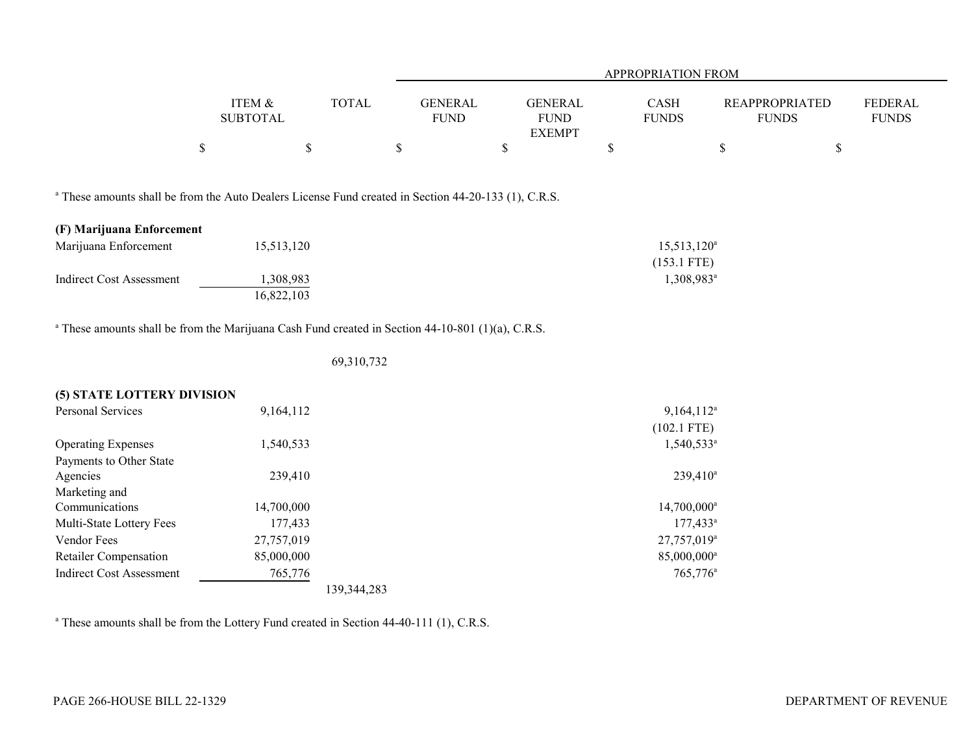|                                                                                                                 |                           |              |                               | APPROPRIATION FROM                             |    |                         |                                       |                                |  |  |  |  |
|-----------------------------------------------------------------------------------------------------------------|---------------------------|--------------|-------------------------------|------------------------------------------------|----|-------------------------|---------------------------------------|--------------------------------|--|--|--|--|
|                                                                                                                 | ITEM &<br><b>SUBTOTAL</b> | <b>TOTAL</b> | <b>GENERAL</b><br><b>FUND</b> | <b>GENERAL</b><br><b>FUND</b><br><b>EXEMPT</b> |    | CASH<br><b>FUNDS</b>    | <b>REAPPROPRIATED</b><br><b>FUNDS</b> | <b>FEDERAL</b><br><b>FUNDS</b> |  |  |  |  |
|                                                                                                                 | $\$$                      | $\$$         | $\$$                          | \$                                             | \$ |                         | $\$$                                  | $\mathbb{S}$                   |  |  |  |  |
| <sup>a</sup> These amounts shall be from the Auto Dealers License Fund created in Section 44-20-133 (1), C.R.S. |                           |              |                               |                                                |    |                         |                                       |                                |  |  |  |  |
| (F) Marijuana Enforcement                                                                                       |                           |              |                               |                                                |    |                         |                                       |                                |  |  |  |  |
| Marijuana Enforcement                                                                                           | 15,513,120                |              |                               |                                                |    | $15,513,120^a$          |                                       |                                |  |  |  |  |
|                                                                                                                 |                           |              |                               |                                                |    | $(153.1$ FTE)           |                                       |                                |  |  |  |  |
| <b>Indirect Cost Assessment</b>                                                                                 | 1,308,983                 |              |                               |                                                |    | 1,308,983 <sup>a</sup>  |                                       |                                |  |  |  |  |
|                                                                                                                 | 16,822,103                |              |                               |                                                |    |                         |                                       |                                |  |  |  |  |
| <sup>a</sup> These amounts shall be from the Marijuana Cash Fund created in Section 44-10-801 (1)(a), C.R.S.    |                           |              |                               |                                                |    |                         |                                       |                                |  |  |  |  |
|                                                                                                                 |                           |              |                               |                                                |    |                         |                                       |                                |  |  |  |  |
|                                                                                                                 |                           | 69,310,732   |                               |                                                |    |                         |                                       |                                |  |  |  |  |
| (5) STATE LOTTERY DIVISION                                                                                      |                           |              |                               |                                                |    |                         |                                       |                                |  |  |  |  |
| Personal Services                                                                                               | 9,164,112                 |              |                               |                                                |    | 9,164,112 <sup>a</sup>  |                                       |                                |  |  |  |  |
|                                                                                                                 |                           |              |                               |                                                |    | $(102.1$ FTE)           |                                       |                                |  |  |  |  |
| <b>Operating Expenses</b>                                                                                       | 1,540,533                 |              |                               |                                                |    | $1,540,533^{\circ}$     |                                       |                                |  |  |  |  |
| Payments to Other State                                                                                         |                           |              |                               |                                                |    |                         |                                       |                                |  |  |  |  |
| Agencies                                                                                                        | 239,410                   |              |                               |                                                |    | $239,410^a$             |                                       |                                |  |  |  |  |
| Marketing and                                                                                                   |                           |              |                               |                                                |    |                         |                                       |                                |  |  |  |  |
| Communications                                                                                                  | 14,700,000                |              |                               |                                                |    | 14,700,000 <sup>a</sup> |                                       |                                |  |  |  |  |
| Multi-State Lottery Fees                                                                                        | 177,433                   |              |                               |                                                |    | $177,433^a$             |                                       |                                |  |  |  |  |
| Vendor Fees                                                                                                     | 27,757,019                |              |                               |                                                |    | 27,757,019 <sup>a</sup> |                                       |                                |  |  |  |  |
| Retailer Compensation                                                                                           | 85,000,000                |              |                               |                                                |    | 85,000,000 <sup>a</sup> |                                       |                                |  |  |  |  |
| <b>Indirect Cost Assessment</b>                                                                                 | 765,776                   |              |                               |                                                |    | $765,776^{\circ}$       |                                       |                                |  |  |  |  |
|                                                                                                                 |                           | 139,344,283  |                               |                                                |    |                         |                                       |                                |  |  |  |  |

<sup>a</sup> These amounts shall be from the Lottery Fund created in Section 44-40-111 (1), C.R.S.